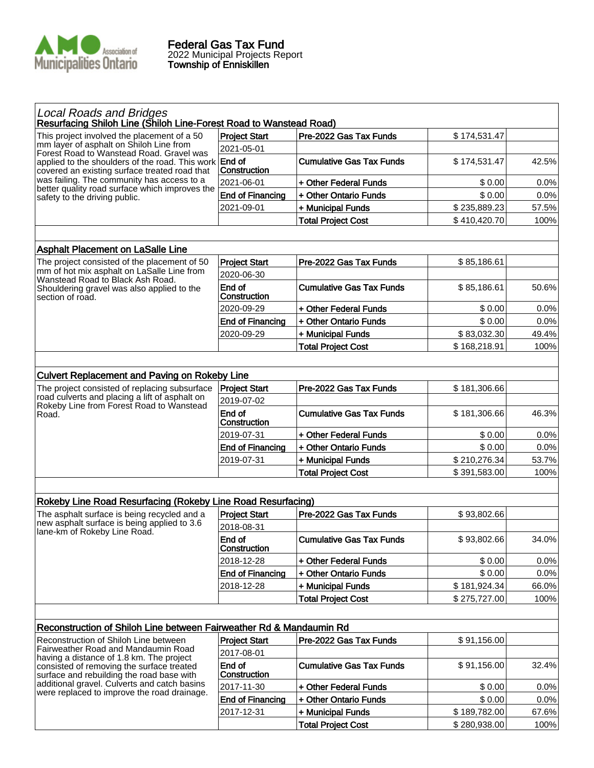

| <b>Local Roads and Bridges</b><br>Resurfacing Shiloh Line (Shiloh Line-Forest Road to Wanstead Road)<br><b>Project Start</b><br>Pre-2022 Gas Tax Funds<br>\$174,531.47<br>This project involved the placement of a 50<br>mm layer of asphalt on Shiloh Line from<br>2021-05-01<br>Forest Road to Wanstead Road. Gravel was<br>End of<br><b>Cumulative Gas Tax Funds</b><br>\$174,531.47<br>applied to the shoulders of the road. This work<br>Construction<br>covered an existing surface treated road that<br>was failing. The community has access to a<br>2021-06-01<br>+ Other Federal Funds<br>\$0.00<br>better quality road surface which improves the<br>\$0.00<br><b>End of Financing</b><br>+ Other Ontario Funds<br>safety to the driving public.<br>\$235,889.23<br>2021-09-01<br>+ Municipal Funds<br><b>Total Project Cost</b><br>\$410,420.70<br><b>Asphalt Placement on LaSalle Line</b><br>Pre-2022 Gas Tax Funds<br>\$85,186.61<br>The project consisted of the placement of 50<br><b>Project Start</b><br>mm of hot mix asphalt on LaSalle Line from<br>2020-06-30<br>Wanstead Road to Black Ash Road.<br>End of<br><b>Cumulative Gas Tax Funds</b><br>\$85,186.61<br>Shouldering gravel was also applied to the<br>Construction<br>section of road.<br>2020-09-29<br>\$0.00<br>+ Other Federal Funds<br>0.0%<br>+ Other Ontario Funds<br>\$0.00<br><b>End of Financing</b><br>0.0%<br>2020-09-29<br>\$83,032.30<br>+ Municipal Funds<br>49.4%<br>\$168,218.91<br>100%<br><b>Total Project Cost</b><br><b>Culvert Replacement and Paving on Rokeby Line</b><br>Pre-2022 Gas Tax Funds<br>The project consisted of replacing subsurface<br><b>Project Start</b><br>\$181,306.66<br>road culverts and placing a lift of asphalt on<br>2019-07-02<br>Rokeby Line from Forest Road to Wanstead<br>End of<br><b>Cumulative Gas Tax Funds</b><br>\$181,306.66<br>Road.<br>Construction<br>2019-07-31<br>+ Other Federal Funds<br>\$0.00<br><b>End of Financing</b><br>+ Other Ontario Funds<br>\$0.00<br>\$210,276.34<br>2019-07-31<br>+ Municipal Funds<br>\$391,583.00<br><b>Total Project Cost</b><br>Rokeby Line Road Resurfacing (Rokeby Line Road Resurfacing)<br><b>Project Start</b><br>The asphalt surface is being recycled and a<br>Pre-2022 Gas Tax Funds<br>\$93,802.66<br>new asphalt surface is being applied to 3.6<br>2018-08-31<br>lane-km of Rokeby Line Road.<br>End of<br><b>Cumulative Gas Tax Funds</b><br>\$93,802.66<br>Construction<br>+ Other Federal Funds<br>2018-12-28<br>\$0.00<br>\$0.00<br><b>End of Financing</b><br>+ Other Ontario Funds<br>2018-12-28<br>+ Municipal Funds<br>\$181,924.34<br><b>Total Project Cost</b><br>\$275,727.00<br>Reconstruction of Shiloh Line between Fairweather Rd & Mandaumin Rd<br>Reconstruction of Shiloh Line between<br>Pre-2022 Gas Tax Funds<br>\$91,156.00<br><b>Project Start</b><br>Fairweather Road and Mandaumin Road<br>2017-08-01<br>having a distance of 1.8 km. The project<br>End of<br><b>Cumulative Gas Tax Funds</b><br>\$91,156.00<br>consisted of removing the surface treated<br>Construction<br>surface and rebuilding the road base with<br>additional gravel. Culverts and catch basins<br>2017-11-30<br>\$0.00<br>+ Other Federal Funds |                                             |  |         |
|---------------------------------------------------------------------------------------------------------------------------------------------------------------------------------------------------------------------------------------------------------------------------------------------------------------------------------------------------------------------------------------------------------------------------------------------------------------------------------------------------------------------------------------------------------------------------------------------------------------------------------------------------------------------------------------------------------------------------------------------------------------------------------------------------------------------------------------------------------------------------------------------------------------------------------------------------------------------------------------------------------------------------------------------------------------------------------------------------------------------------------------------------------------------------------------------------------------------------------------------------------------------------------------------------------------------------------------------------------------------------------------------------------------------------------------------------------------------------------------------------------------------------------------------------------------------------------------------------------------------------------------------------------------------------------------------------------------------------------------------------------------------------------------------------------------------------------------------------------------------------------------------------------------------------------------------------------------------------------------------------------------------------------------------------------------------------------------------------------------------------------------------------------------------------------------------------------------------------------------------------------------------------------------------------------------------------------------------------------------------------------------------------------------------------------------------------------------------------------------------------------------------------------------------------------------------------------------------------------------------------------------------------------------------------------------------------------------------------------------------------------------------------------------------------------------------------------------------------------------------------------------------------------------------------------------------------------------------------------------------------------------------------------------------------------------------------------------------------------------------------------------------------------------------------------------------------------------------------------------------------|---------------------------------------------|--|---------|
|                                                                                                                                                                                                                                                                                                                                                                                                                                                                                                                                                                                                                                                                                                                                                                                                                                                                                                                                                                                                                                                                                                                                                                                                                                                                                                                                                                                                                                                                                                                                                                                                                                                                                                                                                                                                                                                                                                                                                                                                                                                                                                                                                                                                                                                                                                                                                                                                                                                                                                                                                                                                                                                                                                                                                                                                                                                                                                                                                                                                                                                                                                                                                                                                                                                   |                                             |  |         |
|                                                                                                                                                                                                                                                                                                                                                                                                                                                                                                                                                                                                                                                                                                                                                                                                                                                                                                                                                                                                                                                                                                                                                                                                                                                                                                                                                                                                                                                                                                                                                                                                                                                                                                                                                                                                                                                                                                                                                                                                                                                                                                                                                                                                                                                                                                                                                                                                                                                                                                                                                                                                                                                                                                                                                                                                                                                                                                                                                                                                                                                                                                                                                                                                                                                   |                                             |  |         |
|                                                                                                                                                                                                                                                                                                                                                                                                                                                                                                                                                                                                                                                                                                                                                                                                                                                                                                                                                                                                                                                                                                                                                                                                                                                                                                                                                                                                                                                                                                                                                                                                                                                                                                                                                                                                                                                                                                                                                                                                                                                                                                                                                                                                                                                                                                                                                                                                                                                                                                                                                                                                                                                                                                                                                                                                                                                                                                                                                                                                                                                                                                                                                                                                                                                   |                                             |  |         |
|                                                                                                                                                                                                                                                                                                                                                                                                                                                                                                                                                                                                                                                                                                                                                                                                                                                                                                                                                                                                                                                                                                                                                                                                                                                                                                                                                                                                                                                                                                                                                                                                                                                                                                                                                                                                                                                                                                                                                                                                                                                                                                                                                                                                                                                                                                                                                                                                                                                                                                                                                                                                                                                                                                                                                                                                                                                                                                                                                                                                                                                                                                                                                                                                                                                   |                                             |  | 42.5%   |
|                                                                                                                                                                                                                                                                                                                                                                                                                                                                                                                                                                                                                                                                                                                                                                                                                                                                                                                                                                                                                                                                                                                                                                                                                                                                                                                                                                                                                                                                                                                                                                                                                                                                                                                                                                                                                                                                                                                                                                                                                                                                                                                                                                                                                                                                                                                                                                                                                                                                                                                                                                                                                                                                                                                                                                                                                                                                                                                                                                                                                                                                                                                                                                                                                                                   |                                             |  | 0.0%    |
|                                                                                                                                                                                                                                                                                                                                                                                                                                                                                                                                                                                                                                                                                                                                                                                                                                                                                                                                                                                                                                                                                                                                                                                                                                                                                                                                                                                                                                                                                                                                                                                                                                                                                                                                                                                                                                                                                                                                                                                                                                                                                                                                                                                                                                                                                                                                                                                                                                                                                                                                                                                                                                                                                                                                                                                                                                                                                                                                                                                                                                                                                                                                                                                                                                                   |                                             |  | 0.0%    |
|                                                                                                                                                                                                                                                                                                                                                                                                                                                                                                                                                                                                                                                                                                                                                                                                                                                                                                                                                                                                                                                                                                                                                                                                                                                                                                                                                                                                                                                                                                                                                                                                                                                                                                                                                                                                                                                                                                                                                                                                                                                                                                                                                                                                                                                                                                                                                                                                                                                                                                                                                                                                                                                                                                                                                                                                                                                                                                                                                                                                                                                                                                                                                                                                                                                   |                                             |  | 57.5%   |
|                                                                                                                                                                                                                                                                                                                                                                                                                                                                                                                                                                                                                                                                                                                                                                                                                                                                                                                                                                                                                                                                                                                                                                                                                                                                                                                                                                                                                                                                                                                                                                                                                                                                                                                                                                                                                                                                                                                                                                                                                                                                                                                                                                                                                                                                                                                                                                                                                                                                                                                                                                                                                                                                                                                                                                                                                                                                                                                                                                                                                                                                                                                                                                                                                                                   |                                             |  | 100%    |
|                                                                                                                                                                                                                                                                                                                                                                                                                                                                                                                                                                                                                                                                                                                                                                                                                                                                                                                                                                                                                                                                                                                                                                                                                                                                                                                                                                                                                                                                                                                                                                                                                                                                                                                                                                                                                                                                                                                                                                                                                                                                                                                                                                                                                                                                                                                                                                                                                                                                                                                                                                                                                                                                                                                                                                                                                                                                                                                                                                                                                                                                                                                                                                                                                                                   |                                             |  |         |
|                                                                                                                                                                                                                                                                                                                                                                                                                                                                                                                                                                                                                                                                                                                                                                                                                                                                                                                                                                                                                                                                                                                                                                                                                                                                                                                                                                                                                                                                                                                                                                                                                                                                                                                                                                                                                                                                                                                                                                                                                                                                                                                                                                                                                                                                                                                                                                                                                                                                                                                                                                                                                                                                                                                                                                                                                                                                                                                                                                                                                                                                                                                                                                                                                                                   |                                             |  |         |
|                                                                                                                                                                                                                                                                                                                                                                                                                                                                                                                                                                                                                                                                                                                                                                                                                                                                                                                                                                                                                                                                                                                                                                                                                                                                                                                                                                                                                                                                                                                                                                                                                                                                                                                                                                                                                                                                                                                                                                                                                                                                                                                                                                                                                                                                                                                                                                                                                                                                                                                                                                                                                                                                                                                                                                                                                                                                                                                                                                                                                                                                                                                                                                                                                                                   |                                             |  |         |
|                                                                                                                                                                                                                                                                                                                                                                                                                                                                                                                                                                                                                                                                                                                                                                                                                                                                                                                                                                                                                                                                                                                                                                                                                                                                                                                                                                                                                                                                                                                                                                                                                                                                                                                                                                                                                                                                                                                                                                                                                                                                                                                                                                                                                                                                                                                                                                                                                                                                                                                                                                                                                                                                                                                                                                                                                                                                                                                                                                                                                                                                                                                                                                                                                                                   |                                             |  |         |
|                                                                                                                                                                                                                                                                                                                                                                                                                                                                                                                                                                                                                                                                                                                                                                                                                                                                                                                                                                                                                                                                                                                                                                                                                                                                                                                                                                                                                                                                                                                                                                                                                                                                                                                                                                                                                                                                                                                                                                                                                                                                                                                                                                                                                                                                                                                                                                                                                                                                                                                                                                                                                                                                                                                                                                                                                                                                                                                                                                                                                                                                                                                                                                                                                                                   |                                             |  | 50.6%   |
|                                                                                                                                                                                                                                                                                                                                                                                                                                                                                                                                                                                                                                                                                                                                                                                                                                                                                                                                                                                                                                                                                                                                                                                                                                                                                                                                                                                                                                                                                                                                                                                                                                                                                                                                                                                                                                                                                                                                                                                                                                                                                                                                                                                                                                                                                                                                                                                                                                                                                                                                                                                                                                                                                                                                                                                                                                                                                                                                                                                                                                                                                                                                                                                                                                                   |                                             |  |         |
|                                                                                                                                                                                                                                                                                                                                                                                                                                                                                                                                                                                                                                                                                                                                                                                                                                                                                                                                                                                                                                                                                                                                                                                                                                                                                                                                                                                                                                                                                                                                                                                                                                                                                                                                                                                                                                                                                                                                                                                                                                                                                                                                                                                                                                                                                                                                                                                                                                                                                                                                                                                                                                                                                                                                                                                                                                                                                                                                                                                                                                                                                                                                                                                                                                                   |                                             |  |         |
|                                                                                                                                                                                                                                                                                                                                                                                                                                                                                                                                                                                                                                                                                                                                                                                                                                                                                                                                                                                                                                                                                                                                                                                                                                                                                                                                                                                                                                                                                                                                                                                                                                                                                                                                                                                                                                                                                                                                                                                                                                                                                                                                                                                                                                                                                                                                                                                                                                                                                                                                                                                                                                                                                                                                                                                                                                                                                                                                                                                                                                                                                                                                                                                                                                                   |                                             |  |         |
|                                                                                                                                                                                                                                                                                                                                                                                                                                                                                                                                                                                                                                                                                                                                                                                                                                                                                                                                                                                                                                                                                                                                                                                                                                                                                                                                                                                                                                                                                                                                                                                                                                                                                                                                                                                                                                                                                                                                                                                                                                                                                                                                                                                                                                                                                                                                                                                                                                                                                                                                                                                                                                                                                                                                                                                                                                                                                                                                                                                                                                                                                                                                                                                                                                                   |                                             |  |         |
|                                                                                                                                                                                                                                                                                                                                                                                                                                                                                                                                                                                                                                                                                                                                                                                                                                                                                                                                                                                                                                                                                                                                                                                                                                                                                                                                                                                                                                                                                                                                                                                                                                                                                                                                                                                                                                                                                                                                                                                                                                                                                                                                                                                                                                                                                                                                                                                                                                                                                                                                                                                                                                                                                                                                                                                                                                                                                                                                                                                                                                                                                                                                                                                                                                                   |                                             |  |         |
|                                                                                                                                                                                                                                                                                                                                                                                                                                                                                                                                                                                                                                                                                                                                                                                                                                                                                                                                                                                                                                                                                                                                                                                                                                                                                                                                                                                                                                                                                                                                                                                                                                                                                                                                                                                                                                                                                                                                                                                                                                                                                                                                                                                                                                                                                                                                                                                                                                                                                                                                                                                                                                                                                                                                                                                                                                                                                                                                                                                                                                                                                                                                                                                                                                                   |                                             |  |         |
|                                                                                                                                                                                                                                                                                                                                                                                                                                                                                                                                                                                                                                                                                                                                                                                                                                                                                                                                                                                                                                                                                                                                                                                                                                                                                                                                                                                                                                                                                                                                                                                                                                                                                                                                                                                                                                                                                                                                                                                                                                                                                                                                                                                                                                                                                                                                                                                                                                                                                                                                                                                                                                                                                                                                                                                                                                                                                                                                                                                                                                                                                                                                                                                                                                                   |                                             |  |         |
|                                                                                                                                                                                                                                                                                                                                                                                                                                                                                                                                                                                                                                                                                                                                                                                                                                                                                                                                                                                                                                                                                                                                                                                                                                                                                                                                                                                                                                                                                                                                                                                                                                                                                                                                                                                                                                                                                                                                                                                                                                                                                                                                                                                                                                                                                                                                                                                                                                                                                                                                                                                                                                                                                                                                                                                                                                                                                                                                                                                                                                                                                                                                                                                                                                                   |                                             |  |         |
|                                                                                                                                                                                                                                                                                                                                                                                                                                                                                                                                                                                                                                                                                                                                                                                                                                                                                                                                                                                                                                                                                                                                                                                                                                                                                                                                                                                                                                                                                                                                                                                                                                                                                                                                                                                                                                                                                                                                                                                                                                                                                                                                                                                                                                                                                                                                                                                                                                                                                                                                                                                                                                                                                                                                                                                                                                                                                                                                                                                                                                                                                                                                                                                                                                                   |                                             |  |         |
|                                                                                                                                                                                                                                                                                                                                                                                                                                                                                                                                                                                                                                                                                                                                                                                                                                                                                                                                                                                                                                                                                                                                                                                                                                                                                                                                                                                                                                                                                                                                                                                                                                                                                                                                                                                                                                                                                                                                                                                                                                                                                                                                                                                                                                                                                                                                                                                                                                                                                                                                                                                                                                                                                                                                                                                                                                                                                                                                                                                                                                                                                                                                                                                                                                                   |                                             |  | 46.3%   |
|                                                                                                                                                                                                                                                                                                                                                                                                                                                                                                                                                                                                                                                                                                                                                                                                                                                                                                                                                                                                                                                                                                                                                                                                                                                                                                                                                                                                                                                                                                                                                                                                                                                                                                                                                                                                                                                                                                                                                                                                                                                                                                                                                                                                                                                                                                                                                                                                                                                                                                                                                                                                                                                                                                                                                                                                                                                                                                                                                                                                                                                                                                                                                                                                                                                   |                                             |  | 0.0%    |
|                                                                                                                                                                                                                                                                                                                                                                                                                                                                                                                                                                                                                                                                                                                                                                                                                                                                                                                                                                                                                                                                                                                                                                                                                                                                                                                                                                                                                                                                                                                                                                                                                                                                                                                                                                                                                                                                                                                                                                                                                                                                                                                                                                                                                                                                                                                                                                                                                                                                                                                                                                                                                                                                                                                                                                                                                                                                                                                                                                                                                                                                                                                                                                                                                                                   |                                             |  | 0.0%    |
|                                                                                                                                                                                                                                                                                                                                                                                                                                                                                                                                                                                                                                                                                                                                                                                                                                                                                                                                                                                                                                                                                                                                                                                                                                                                                                                                                                                                                                                                                                                                                                                                                                                                                                                                                                                                                                                                                                                                                                                                                                                                                                                                                                                                                                                                                                                                                                                                                                                                                                                                                                                                                                                                                                                                                                                                                                                                                                                                                                                                                                                                                                                                                                                                                                                   |                                             |  | 53.7%   |
|                                                                                                                                                                                                                                                                                                                                                                                                                                                                                                                                                                                                                                                                                                                                                                                                                                                                                                                                                                                                                                                                                                                                                                                                                                                                                                                                                                                                                                                                                                                                                                                                                                                                                                                                                                                                                                                                                                                                                                                                                                                                                                                                                                                                                                                                                                                                                                                                                                                                                                                                                                                                                                                                                                                                                                                                                                                                                                                                                                                                                                                                                                                                                                                                                                                   |                                             |  | 100%    |
|                                                                                                                                                                                                                                                                                                                                                                                                                                                                                                                                                                                                                                                                                                                                                                                                                                                                                                                                                                                                                                                                                                                                                                                                                                                                                                                                                                                                                                                                                                                                                                                                                                                                                                                                                                                                                                                                                                                                                                                                                                                                                                                                                                                                                                                                                                                                                                                                                                                                                                                                                                                                                                                                                                                                                                                                                                                                                                                                                                                                                                                                                                                                                                                                                                                   |                                             |  |         |
|                                                                                                                                                                                                                                                                                                                                                                                                                                                                                                                                                                                                                                                                                                                                                                                                                                                                                                                                                                                                                                                                                                                                                                                                                                                                                                                                                                                                                                                                                                                                                                                                                                                                                                                                                                                                                                                                                                                                                                                                                                                                                                                                                                                                                                                                                                                                                                                                                                                                                                                                                                                                                                                                                                                                                                                                                                                                                                                                                                                                                                                                                                                                                                                                                                                   |                                             |  |         |
|                                                                                                                                                                                                                                                                                                                                                                                                                                                                                                                                                                                                                                                                                                                                                                                                                                                                                                                                                                                                                                                                                                                                                                                                                                                                                                                                                                                                                                                                                                                                                                                                                                                                                                                                                                                                                                                                                                                                                                                                                                                                                                                                                                                                                                                                                                                                                                                                                                                                                                                                                                                                                                                                                                                                                                                                                                                                                                                                                                                                                                                                                                                                                                                                                                                   |                                             |  |         |
|                                                                                                                                                                                                                                                                                                                                                                                                                                                                                                                                                                                                                                                                                                                                                                                                                                                                                                                                                                                                                                                                                                                                                                                                                                                                                                                                                                                                                                                                                                                                                                                                                                                                                                                                                                                                                                                                                                                                                                                                                                                                                                                                                                                                                                                                                                                                                                                                                                                                                                                                                                                                                                                                                                                                                                                                                                                                                                                                                                                                                                                                                                                                                                                                                                                   |                                             |  |         |
|                                                                                                                                                                                                                                                                                                                                                                                                                                                                                                                                                                                                                                                                                                                                                                                                                                                                                                                                                                                                                                                                                                                                                                                                                                                                                                                                                                                                                                                                                                                                                                                                                                                                                                                                                                                                                                                                                                                                                                                                                                                                                                                                                                                                                                                                                                                                                                                                                                                                                                                                                                                                                                                                                                                                                                                                                                                                                                                                                                                                                                                                                                                                                                                                                                                   |                                             |  | 34.0%   |
|                                                                                                                                                                                                                                                                                                                                                                                                                                                                                                                                                                                                                                                                                                                                                                                                                                                                                                                                                                                                                                                                                                                                                                                                                                                                                                                                                                                                                                                                                                                                                                                                                                                                                                                                                                                                                                                                                                                                                                                                                                                                                                                                                                                                                                                                                                                                                                                                                                                                                                                                                                                                                                                                                                                                                                                                                                                                                                                                                                                                                                                                                                                                                                                                                                                   |                                             |  | 0.0%    |
|                                                                                                                                                                                                                                                                                                                                                                                                                                                                                                                                                                                                                                                                                                                                                                                                                                                                                                                                                                                                                                                                                                                                                                                                                                                                                                                                                                                                                                                                                                                                                                                                                                                                                                                                                                                                                                                                                                                                                                                                                                                                                                                                                                                                                                                                                                                                                                                                                                                                                                                                                                                                                                                                                                                                                                                                                                                                                                                                                                                                                                                                                                                                                                                                                                                   |                                             |  | 0.0%    |
|                                                                                                                                                                                                                                                                                                                                                                                                                                                                                                                                                                                                                                                                                                                                                                                                                                                                                                                                                                                                                                                                                                                                                                                                                                                                                                                                                                                                                                                                                                                                                                                                                                                                                                                                                                                                                                                                                                                                                                                                                                                                                                                                                                                                                                                                                                                                                                                                                                                                                                                                                                                                                                                                                                                                                                                                                                                                                                                                                                                                                                                                                                                                                                                                                                                   |                                             |  | 66.0%   |
|                                                                                                                                                                                                                                                                                                                                                                                                                                                                                                                                                                                                                                                                                                                                                                                                                                                                                                                                                                                                                                                                                                                                                                                                                                                                                                                                                                                                                                                                                                                                                                                                                                                                                                                                                                                                                                                                                                                                                                                                                                                                                                                                                                                                                                                                                                                                                                                                                                                                                                                                                                                                                                                                                                                                                                                                                                                                                                                                                                                                                                                                                                                                                                                                                                                   |                                             |  | 100%    |
|                                                                                                                                                                                                                                                                                                                                                                                                                                                                                                                                                                                                                                                                                                                                                                                                                                                                                                                                                                                                                                                                                                                                                                                                                                                                                                                                                                                                                                                                                                                                                                                                                                                                                                                                                                                                                                                                                                                                                                                                                                                                                                                                                                                                                                                                                                                                                                                                                                                                                                                                                                                                                                                                                                                                                                                                                                                                                                                                                                                                                                                                                                                                                                                                                                                   |                                             |  |         |
|                                                                                                                                                                                                                                                                                                                                                                                                                                                                                                                                                                                                                                                                                                                                                                                                                                                                                                                                                                                                                                                                                                                                                                                                                                                                                                                                                                                                                                                                                                                                                                                                                                                                                                                                                                                                                                                                                                                                                                                                                                                                                                                                                                                                                                                                                                                                                                                                                                                                                                                                                                                                                                                                                                                                                                                                                                                                                                                                                                                                                                                                                                                                                                                                                                                   |                                             |  |         |
|                                                                                                                                                                                                                                                                                                                                                                                                                                                                                                                                                                                                                                                                                                                                                                                                                                                                                                                                                                                                                                                                                                                                                                                                                                                                                                                                                                                                                                                                                                                                                                                                                                                                                                                                                                                                                                                                                                                                                                                                                                                                                                                                                                                                                                                                                                                                                                                                                                                                                                                                                                                                                                                                                                                                                                                                                                                                                                                                                                                                                                                                                                                                                                                                                                                   | were replaced to improve the road drainage. |  |         |
|                                                                                                                                                                                                                                                                                                                                                                                                                                                                                                                                                                                                                                                                                                                                                                                                                                                                                                                                                                                                                                                                                                                                                                                                                                                                                                                                                                                                                                                                                                                                                                                                                                                                                                                                                                                                                                                                                                                                                                                                                                                                                                                                                                                                                                                                                                                                                                                                                                                                                                                                                                                                                                                                                                                                                                                                                                                                                                                                                                                                                                                                                                                                                                                                                                                   |                                             |  |         |
|                                                                                                                                                                                                                                                                                                                                                                                                                                                                                                                                                                                                                                                                                                                                                                                                                                                                                                                                                                                                                                                                                                                                                                                                                                                                                                                                                                                                                                                                                                                                                                                                                                                                                                                                                                                                                                                                                                                                                                                                                                                                                                                                                                                                                                                                                                                                                                                                                                                                                                                                                                                                                                                                                                                                                                                                                                                                                                                                                                                                                                                                                                                                                                                                                                                   |                                             |  | 32.4%   |
|                                                                                                                                                                                                                                                                                                                                                                                                                                                                                                                                                                                                                                                                                                                                                                                                                                                                                                                                                                                                                                                                                                                                                                                                                                                                                                                                                                                                                                                                                                                                                                                                                                                                                                                                                                                                                                                                                                                                                                                                                                                                                                                                                                                                                                                                                                                                                                                                                                                                                                                                                                                                                                                                                                                                                                                                                                                                                                                                                                                                                                                                                                                                                                                                                                                   |                                             |  | $0.0\%$ |
| \$0.00<br><b>End of Financing</b><br>+ Other Ontario Funds                                                                                                                                                                                                                                                                                                                                                                                                                                                                                                                                                                                                                                                                                                                                                                                                                                                                                                                                                                                                                                                                                                                                                                                                                                                                                                                                                                                                                                                                                                                                                                                                                                                                                                                                                                                                                                                                                                                                                                                                                                                                                                                                                                                                                                                                                                                                                                                                                                                                                                                                                                                                                                                                                                                                                                                                                                                                                                                                                                                                                                                                                                                                                                                        |                                             |  | 0.0%    |
| \$189,782.00<br>2017-12-31<br>+ Municipal Funds                                                                                                                                                                                                                                                                                                                                                                                                                                                                                                                                                                                                                                                                                                                                                                                                                                                                                                                                                                                                                                                                                                                                                                                                                                                                                                                                                                                                                                                                                                                                                                                                                                                                                                                                                                                                                                                                                                                                                                                                                                                                                                                                                                                                                                                                                                                                                                                                                                                                                                                                                                                                                                                                                                                                                                                                                                                                                                                                                                                                                                                                                                                                                                                                   |                                             |  | 67.6%   |
| <b>Total Project Cost</b><br>\$280,938.00                                                                                                                                                                                                                                                                                                                                                                                                                                                                                                                                                                                                                                                                                                                                                                                                                                                                                                                                                                                                                                                                                                                                                                                                                                                                                                                                                                                                                                                                                                                                                                                                                                                                                                                                                                                                                                                                                                                                                                                                                                                                                                                                                                                                                                                                                                                                                                                                                                                                                                                                                                                                                                                                                                                                                                                                                                                                                                                                                                                                                                                                                                                                                                                                         |                                             |  | 100%    |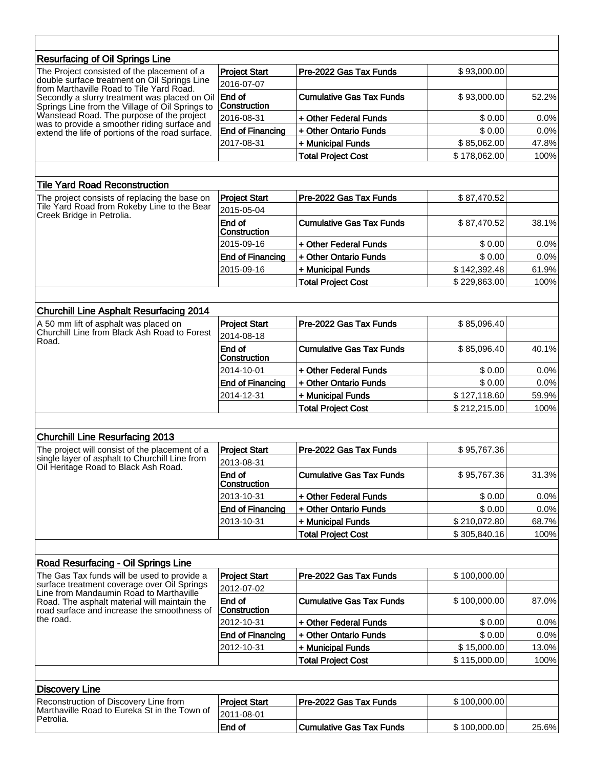| <b>Resurfacing of Oil Springs Line</b>                                                                                                                                                                                                      |                         |                                 |              |       |
|---------------------------------------------------------------------------------------------------------------------------------------------------------------------------------------------------------------------------------------------|-------------------------|---------------------------------|--------------|-------|
| The Project consisted of the placement of a<br>double surface treatment on Oil Springs Line<br>from Marthaville Road to Tile Yard Road.<br>Secondly a slurry treatment was placed on Oil<br>Springs Line from the Village of Oil Springs to | <b>Project Start</b>    | Pre-2022 Gas Tax Funds          | \$93,000.00  |       |
|                                                                                                                                                                                                                                             | 2016-07-07              |                                 |              |       |
|                                                                                                                                                                                                                                             | End of<br>Construction  | <b>Cumulative Gas Tax Funds</b> | \$93,000.00  | 52.2% |
| Wanstead Road. The purpose of the project<br>was to provide a smoother riding surface and                                                                                                                                                   | 2016-08-31              | + Other Federal Funds           | \$0.00       | 0.0%  |
| extend the life of portions of the road surface.                                                                                                                                                                                            | <b>End of Financing</b> | + Other Ontario Funds           | \$0.00       | 0.0%  |
|                                                                                                                                                                                                                                             | 2017-08-31              | + Municipal Funds               | \$85,062.00  | 47.8% |
|                                                                                                                                                                                                                                             |                         | <b>Total Project Cost</b>       | \$178,062.00 | 100%  |
|                                                                                                                                                                                                                                             |                         |                                 |              |       |
| <b>Tile Yard Road Reconstruction</b>                                                                                                                                                                                                        |                         |                                 |              |       |
| The project consists of replacing the base on                                                                                                                                                                                               | <b>Project Start</b>    | Pre-2022 Gas Tax Funds          | \$87,470.52  |       |
| Tile Yard Road from Rokeby Line to the Bear                                                                                                                                                                                                 | 2015-05-04              |                                 |              |       |
| Creek Bridge in Petrolia.                                                                                                                                                                                                                   | End of<br>Construction  | <b>Cumulative Gas Tax Funds</b> | \$87,470.52  | 38.1% |
|                                                                                                                                                                                                                                             | 2015-09-16              | + Other Federal Funds           | \$0.00       | 0.0%  |
|                                                                                                                                                                                                                                             | <b>End of Financing</b> | + Other Ontario Funds           | \$0.00       | 0.0%  |
|                                                                                                                                                                                                                                             | 2015-09-16              | + Municipal Funds               | \$142,392.48 | 61.9% |
|                                                                                                                                                                                                                                             |                         | <b>Total Project Cost</b>       | \$229,863.00 | 100%  |
|                                                                                                                                                                                                                                             |                         |                                 |              |       |
| <b>Churchill Line Asphalt Resurfacing 2014</b>                                                                                                                                                                                              |                         |                                 |              |       |
| A 50 mm lift of asphalt was placed on                                                                                                                                                                                                       | <b>Project Start</b>    | Pre-2022 Gas Tax Funds          | \$85,096.40  |       |
| Churchill Line from Black Ash Road to Forest                                                                                                                                                                                                | 2014-08-18              |                                 |              |       |
| Road.                                                                                                                                                                                                                                       | End of                  | <b>Cumulative Gas Tax Funds</b> | \$85,096.40  | 40.1% |
|                                                                                                                                                                                                                                             | Construction            |                                 |              |       |
|                                                                                                                                                                                                                                             | 2014-10-01              | + Other Federal Funds           | \$0.00       | 0.0%  |
|                                                                                                                                                                                                                                             | <b>End of Financing</b> | + Other Ontario Funds           | \$0.00       | 0.0%  |
|                                                                                                                                                                                                                                             | 2014-12-31              | + Municipal Funds               | \$127,118.60 | 59.9% |
|                                                                                                                                                                                                                                             |                         | <b>Total Project Cost</b>       | \$212,215.00 | 100%  |
|                                                                                                                                                                                                                                             |                         |                                 |              |       |
| <b>Churchill Line Resurfacing 2013</b>                                                                                                                                                                                                      |                         |                                 |              |       |
| The project will consist of the placement of a                                                                                                                                                                                              | <b>Project Start</b>    | Pre-2022 Gas Tax Funds          | \$95,767.36  |       |
| single layer of asphalt to Churchill Line from<br>Oil Heritage Road to Black Ash Road.                                                                                                                                                      | 2013-08-31              |                                 |              |       |
|                                                                                                                                                                                                                                             | End of<br>Construction  | <b>Cumulative Gas Tax Funds</b> | \$95,767.36  | 31.3% |
|                                                                                                                                                                                                                                             | 2013-10-31              | + Other Federal Funds           | \$0.00       | 0.0%  |
|                                                                                                                                                                                                                                             | <b>End of Financing</b> | + Other Ontario Funds           | \$0.00       | 0.0%  |
|                                                                                                                                                                                                                                             | 2013-10-31              | + Municipal Funds               | \$210,072.80 | 68.7% |
|                                                                                                                                                                                                                                             |                         | <b>Total Project Cost</b>       | \$305,840.16 | 100%  |
|                                                                                                                                                                                                                                             |                         |                                 |              |       |
| Road Resurfacing - Oil Springs Line                                                                                                                                                                                                         |                         |                                 |              |       |
| The Gas Tax funds will be used to provide a                                                                                                                                                                                                 | <b>Project Start</b>    | Pre-2022 Gas Tax Funds          | \$100,000.00 |       |
| surface treatment coverage over Oil Springs<br>Line from Mandaumin Road to Marthaville<br>Road. The asphalt material will maintain the<br>road surface and increase the smoothness of<br>the road.                                          | 2012-07-02              |                                 |              |       |
|                                                                                                                                                                                                                                             | End of<br>Construction  | <b>Cumulative Gas Tax Funds</b> | \$100,000.00 | 87.0% |
|                                                                                                                                                                                                                                             | 2012-10-31              | + Other Federal Funds           | \$0.00       | 0.0%  |
|                                                                                                                                                                                                                                             | <b>End of Financing</b> | + Other Ontario Funds           | \$0.00       | 0.0%  |
|                                                                                                                                                                                                                                             | 2012-10-31              | + Municipal Funds               | \$15,000.00  | 13.0% |
|                                                                                                                                                                                                                                             |                         | <b>Total Project Cost</b>       | \$115,000.00 | 100%  |
|                                                                                                                                                                                                                                             |                         |                                 |              |       |
| <b>Discovery Line</b>                                                                                                                                                                                                                       |                         |                                 |              |       |
| Reconstruction of Discovery Line from                                                                                                                                                                                                       | <b>Project Start</b>    | Pre-2022 Gas Tax Funds          | \$100,000.00 |       |
| Marthaville Road to Eureka St in the Town of<br>Petrolia.                                                                                                                                                                                   | 2011-08-01              |                                 |              |       |
|                                                                                                                                                                                                                                             | End of                  | <b>Cumulative Gas Tax Funds</b> | \$100,000.00 | 25.6% |